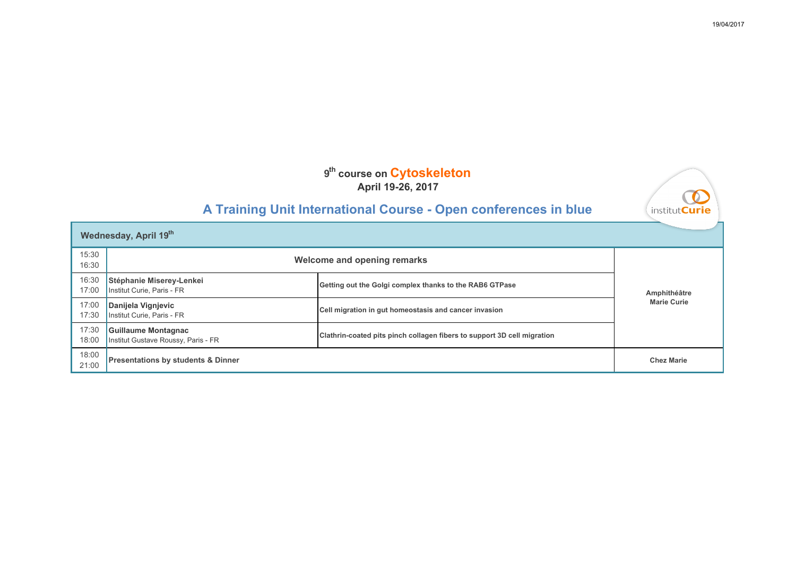## **A Training Unit International Course - Open conferences in blue**

| <b>Wednesday, April 19th</b> |                                                            |                                                                                |                    |
|------------------------------|------------------------------------------------------------|--------------------------------------------------------------------------------|--------------------|
| 15:30<br>16:30               | Welcome and opening remarks                                |                                                                                |                    |
| 16:30<br>17:00               | Stéphanie Miserey-Lenkei<br>Institut Curie, Paris - FR     | Getting out the Golgi complex thanks to the RAB6 GTPase                        | Amphithéâtre       |
| 17:00<br>17:30               | Danijela Vignjevic<br>Institut Curie, Paris - FR           | Cell migration in gut homeostasis and cancer invasion                          | <b>Marie Curie</b> |
| 17:30<br>18:00               | Guillaume Montagnac<br>Institut Gustave Roussy, Paris - FR | <b>Clathrin-coated pits pinch collagen fibers to support 3D cell migration</b> |                    |
| 18:00<br>21:00               | <b>Presentations by students &amp; Dinner</b>              |                                                                                | <b>Chez Marie</b>  |

∩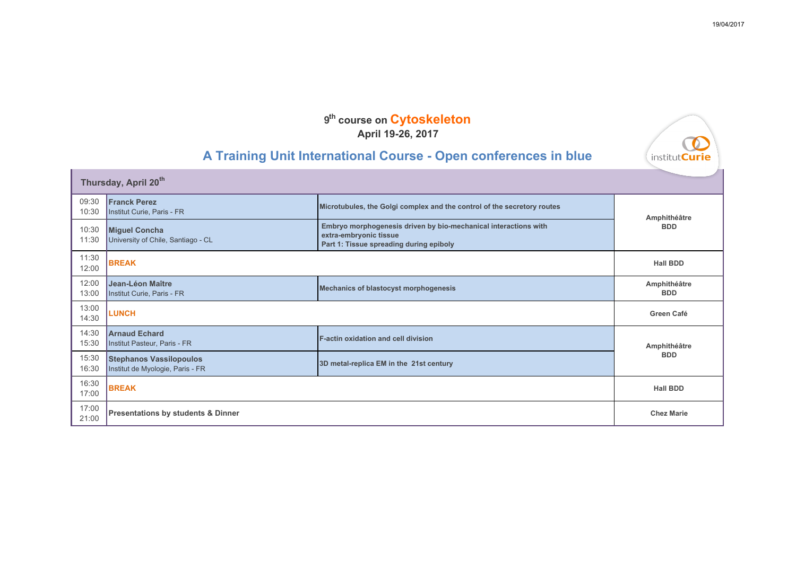## **A Training Unit International Course - Open conferences in blue**

| Thursday, April 20th |                                                                    |                                                                                                                                      |                            |
|----------------------|--------------------------------------------------------------------|--------------------------------------------------------------------------------------------------------------------------------------|----------------------------|
| 09:30<br>10:30       | <b>Franck Perez</b><br>Institut Curie, Paris - FR                  | Microtubules, the Golgi complex and the control of the secretory routes                                                              | Amphithéâtre               |
| 10:30<br>11:30       | <b>Miguel Concha</b><br>University of Chile, Santiago - CL         | Embryo morphogenesis driven by bio-mechanical interactions with<br>extra-embryonic tissue<br>Part 1: Tissue spreading during epiboly | <b>BDD</b>                 |
| 11:30<br>12:00       | <b>BREAK</b>                                                       |                                                                                                                                      | <b>Hall BDD</b>            |
| 12:00<br>13:00       | Jean-Léon Maître<br>Institut Curie, Paris - FR                     | <b>Mechanics of blastocyst morphogenesis</b>                                                                                         | Amphithéâtre<br><b>BDD</b> |
| 13:00<br>14:30       | <b>LUNCH</b>                                                       |                                                                                                                                      | Green Café                 |
| 14:30<br>15:30       | <b>Arnaud Echard</b><br>Institut Pasteur, Paris - FR               | <b>F-actin oxidation and cell division</b>                                                                                           | Amphithéâtre               |
| 15:30<br>16:30       | <b>Stephanos Vassilopoulos</b><br>Institut de Myologie, Paris - FR | 3D metal-replica EM in the 21st century                                                                                              | <b>BDD</b>                 |
| 16:30<br>17:00       | <b>BREAK</b>                                                       |                                                                                                                                      | <b>Hall BDD</b>            |
| 17:00<br>21:00       | <b>Presentations by students &amp; Dinner</b>                      |                                                                                                                                      | <b>Chez Marie</b>          |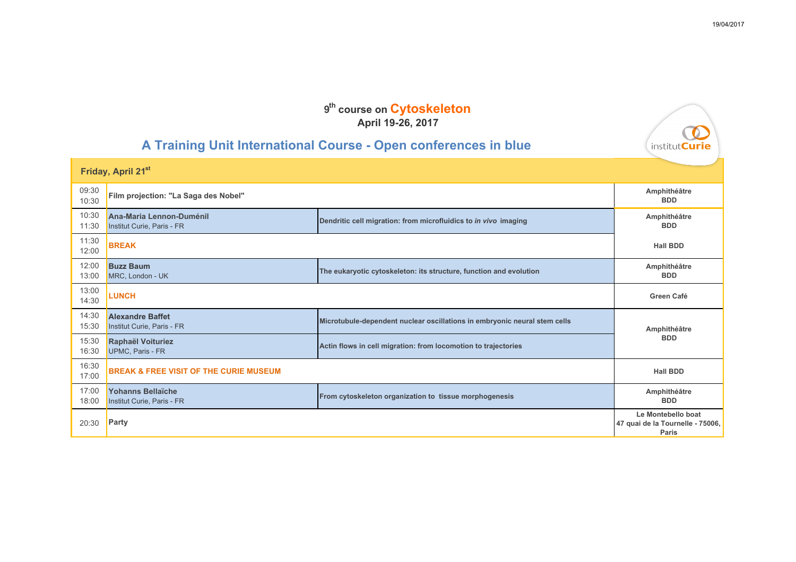# **A Training Unit International Course - Open conferences in blue**

| Friday, April 21st |                                                        |                                                                           |                                                                 |
|--------------------|--------------------------------------------------------|---------------------------------------------------------------------------|-----------------------------------------------------------------|
| 09:30<br>10:30     | Film projection: "La Saga des Nobel"                   |                                                                           | Amphithéâtre<br><b>BDD</b>                                      |
| 10:30<br>11:30     | Ana-Maria Lennon-Duménil<br>Institut Curie, Paris - FR | Dendritic cell migration: from microfluidics to in vivo imaging           | Amphithéâtre<br><b>BDD</b>                                      |
| 11:30<br>12:00     | <b>BREAK</b>                                           |                                                                           | <b>Hall BDD</b>                                                 |
| 12:00<br>13:00     | <b>Buzz Baum</b><br>MRC, London - UK                   | The eukaryotic cytoskeleton: its structure, function and evolution        | Amphithéâtre<br><b>BDD</b>                                      |
| 13:00<br>14:30     | <b>LUNCH</b>                                           |                                                                           | Green Café                                                      |
| 14:30<br>15:30     | <b>Alexandre Baffet</b><br>Institut Curie, Paris - FR  | Microtubule-dependent nuclear oscillations in embryonic neural stem cells | Amphithéâtre                                                    |
| 15:30<br>16:30     | Raphaël Voituriez<br>UPMC, Paris - FR                  | Actin flows in cell migration: from locomotion to trajectories            | <b>BDD</b>                                                      |
| 16:30<br>17:00     | <b>BREAK &amp; FREE VISIT OF THE CURIE MUSEUM</b>      |                                                                           | <b>Hall BDD</b>                                                 |
| 17:00<br>18:00     | Yohanns Bellaïche<br>Institut Curie, Paris - FR        | From cytoskeleton organization to tissue morphogenesis                    | Amphithéâtre<br><b>BDD</b>                                      |
| 20:30              | Party                                                  |                                                                           | Le Montebello boat<br>47 quai de la Tournelle - 75006,<br>Paris |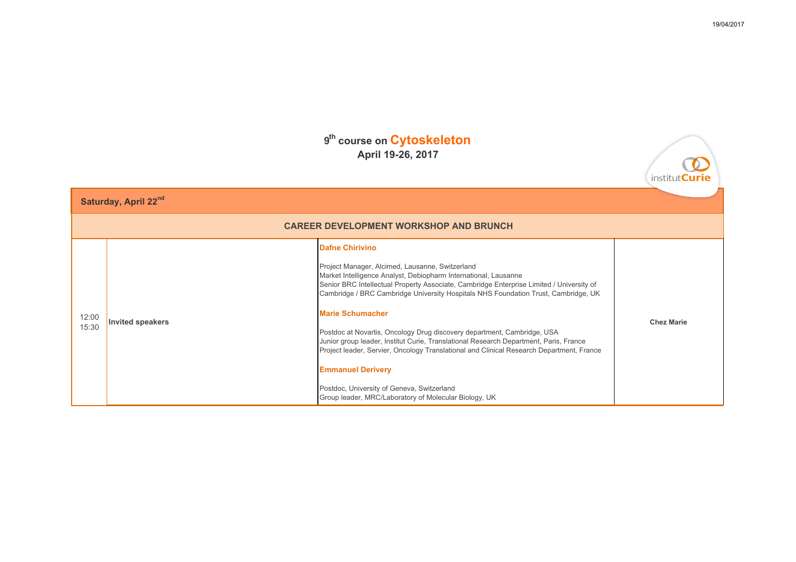| Saturday, April 22nd |                                               |                                                                                                                                                                                                                                                                                                                                                                                                                                                                                                                                                                                                                                                                                                                                                              |                   |  |
|----------------------|-----------------------------------------------|--------------------------------------------------------------------------------------------------------------------------------------------------------------------------------------------------------------------------------------------------------------------------------------------------------------------------------------------------------------------------------------------------------------------------------------------------------------------------------------------------------------------------------------------------------------------------------------------------------------------------------------------------------------------------------------------------------------------------------------------------------------|-------------------|--|
|                      | <b>CAREER DEVELOPMENT WORKSHOP AND BRUNCH</b> |                                                                                                                                                                                                                                                                                                                                                                                                                                                                                                                                                                                                                                                                                                                                                              |                   |  |
| 12:00<br>15:30       | <b>Invited speakers</b>                       | <b>Dafne Chirivino</b><br>Project Manager, Alcimed, Lausanne, Switzerland<br>Market Intelligence Analyst, Debiopharm International, Lausanne<br>Senior BRC Intellectual Property Associate, Cambridge Enterprise Limited / University of<br>Cambridge / BRC Cambridge University Hospitals NHS Foundation Trust, Cambridge, UK<br><b>Marie Schumacher</b><br>Postdoc at Novartis, Oncology Drug discovery department, Cambridge, USA<br>Junior group leader, Institut Curie, Translational Research Department, Paris, France<br>Project leader, Servier, Oncology Translational and Clinical Research Department, France<br><b>Emmanuel Derivery</b><br>Postdoc, University of Geneva, Switzerland<br>Group leader, MRC/Laboratory of Molecular Biology, UK | <b>Chez Marie</b> |  |

О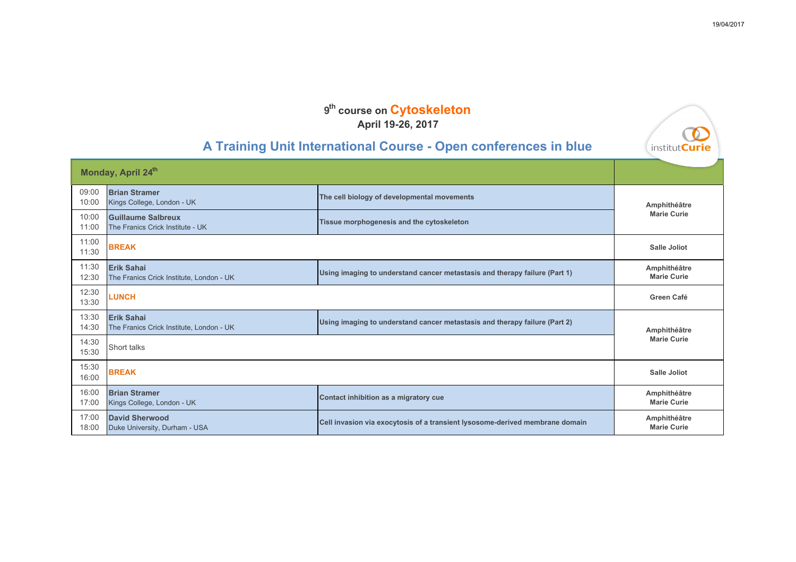| A Training Unit International Course - Open conferences in blue |                                                               |                                                                              | V<br>institut <b>Curie</b>         |
|-----------------------------------------------------------------|---------------------------------------------------------------|------------------------------------------------------------------------------|------------------------------------|
| Monday, April 24 <sup>th</sup>                                  |                                                               |                                                                              |                                    |
| 09:00<br>10:00                                                  | <b>Brian Stramer</b><br>Kings College, London - UK            | The cell biology of developmental movements                                  | Amphithéâtre                       |
| 10:00<br>11:00                                                  | <b>Guillaume Salbreux</b><br>The Franics Crick Institute - UK | Tissue morphogenesis and the cytoskeleton                                    | <b>Marie Curie</b>                 |
| 11:00<br>11:30                                                  | <b>BREAK</b>                                                  |                                                                              | <b>Salle Joliot</b>                |
| 11:30<br>12:30                                                  | <b>Erik Sahai</b><br>The Franics Crick Institute, London - UK | Using imaging to understand cancer metastasis and therapy failure (Part 1)   | Amphithéâtre<br><b>Marie Curie</b> |
| 12:30<br>13:30                                                  | <b>LUNCH</b>                                                  |                                                                              | Green Café                         |
| 13:30<br>14:30                                                  | <b>Erik Sahai</b><br>The Franics Crick Institute, London - UK | Using imaging to understand cancer metastasis and therapy failure (Part 2)   | Amphithéâtre                       |
| 14:30<br>15:30                                                  | Short talks                                                   |                                                                              | <b>Marie Curie</b>                 |
| 15:30<br>16:00                                                  | <b>BREAK</b>                                                  |                                                                              | <b>Salle Joliot</b>                |
| 16:00<br>17:00                                                  | <b>Brian Stramer</b><br>Kings College, London - UK            | Contact inhibition as a migratory cue                                        | Amphithéâtre<br><b>Marie Curie</b> |
| 17:00<br>18:00                                                  | <b>David Sherwood</b><br>Duke University, Durham - USA        | Cell invasion via exocytosis of a transient lysosome-derived membrane domain | Amphithéâtre<br><b>Marie Curie</b> |

 $\sqrt{2}$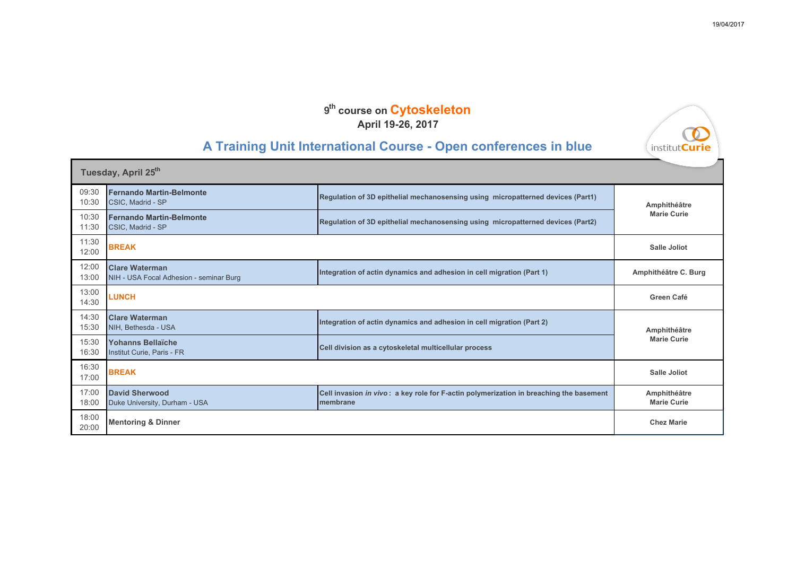## **A Training Unit International Course - Open conferences in blue**

| Tuesday, April 25 <sup>th</sup> |                                                                  |                                                                                                    |                                    |
|---------------------------------|------------------------------------------------------------------|----------------------------------------------------------------------------------------------------|------------------------------------|
| 09:30<br>10:30                  | <b>Fernando Martin-Belmonte</b><br>CSIC, Madrid - SP             | Regulation of 3D epithelial mechanosensing using micropatterned devices (Part1)                    | Amphithéâtre                       |
| 10:30<br>11:30                  | <b>Fernando Martin-Belmonte</b><br>CSIC, Madrid - SP             | Regulation of 3D epithelial mechanosensing using micropatterned devices (Part2)                    | <b>Marie Curie</b>                 |
| 11:30<br>12:00                  | <b>BREAK</b>                                                     |                                                                                                    | <b>Salle Joliot</b>                |
| 12:00<br>13:00                  | <b>Clare Waterman</b><br>NIH - USA Focal Adhesion - seminar Burg | Integration of actin dynamics and adhesion in cell migration (Part 1)                              | Amphithéâtre C. Burg               |
| 13:00<br>14:30                  | <b>LUNCH</b>                                                     |                                                                                                    | Green Café                         |
| 14:30<br>15:30                  | <b>Clare Waterman</b><br>NIH, Bethesda - USA                     | Integration of actin dynamics and adhesion in cell migration (Part 2)                              | Amphithéâtre                       |
| 15:30<br>16:30                  | Yohanns Bellaïche<br>Institut Curie, Paris - FR                  | Cell division as a cytoskeletal multicellular process                                              | <b>Marie Curie</b>                 |
| 16:30<br>17:00                  | <b>BREAK</b>                                                     |                                                                                                    | <b>Salle Joliot</b>                |
| 17:00<br>18:00                  | <b>David Sherwood</b><br>Duke University, Durham - USA           | Cell invasion in vivo: a key role for F-actin polymerization in breaching the basement<br>membrane | Amphithéâtre<br><b>Marie Curie</b> |
| 18:00<br>20:00                  | <b>Mentoring &amp; Dinner</b>                                    |                                                                                                    | <b>Chez Marie</b>                  |

 $\bullet$